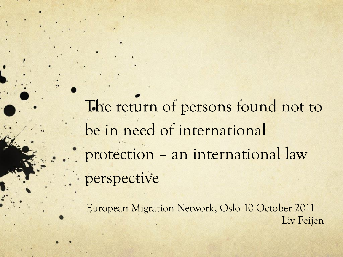The return of persons found not to be in need of international protection – an international law perspective

European Migration Network, Oslo 10 October 2011 Liv Feijen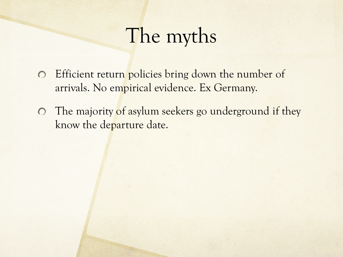## The myths

- Efficient return policies bring down the number of arrivals. No empirical evidence. Ex Germany.
- The majority of asylum seekers go underground if they know the departure date.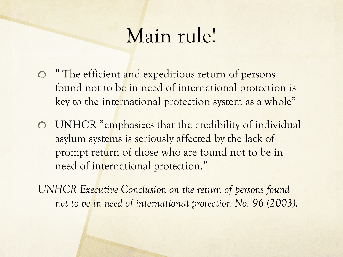## Main rule!

- " The efficient and expeditious return of persons found not to be in need of international protection is key to the international protection system as a whole"
- UNHCR "emphasizes that the credibility of individual asylum systems is seriously affected by the lack of prompt return of those who are found not to be in need of international protection."

*UNHCR Executive Conclusion on the return of persons found not to be in need of international protection No. 96 (2003).*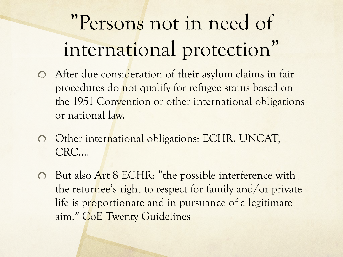# "Persons not in need of international protection"

- After due consideration of their asylum claims in fair procedures do not qualify for refugee status based on the 1951 Convention or other international obligations or national law.
- Other international obligations: ECHR, UNCAT,  $\bigcirc$ CRC….
- But also Art 8 ECHR: "the possible interference with  $\circ$ the returnee's right to respect for family and/or private life is proportionate and in pursuance of a legitimate aim." CoE Twenty Guidelines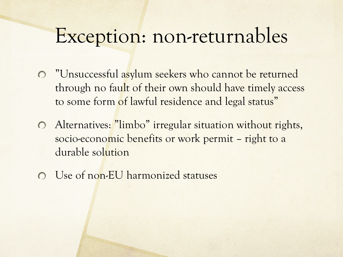#### Exception: non-returnables

- "Unsuccessful asylum seekers who cannot be returned through no fault of their own should have timely access to some form of lawful residence and legal status"
- Alternatives: "limbo" irregular situation without rights,  $\bigcirc$ socio-economic benefits or work permit – right to a durable solution
- Use of non-EU harmonized statuses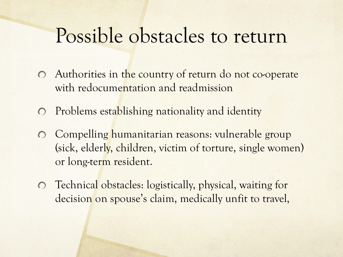### Possible obstacles to return

- Authorities in the country of return do not co-operate  $\bigcirc$ with redocumentation and readmission
- Problems establishing nationality and identity  $\overline{O}$
- Compelling humanitarian reasons: vulnerable group  $\overline{O}$ (sick, elderly, children, victim of torture, single women) or long-term resident.
- Technical obstacles: logistically, physical, waiting for decision on spouse's claim, medically unfit to travel,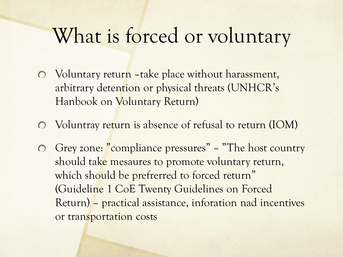## What is forced or voluntary

- Voluntary return –take place without harassment, arbitrary detention or physical threats (UNHCR' s Hanbook on Voluntary Return)
- Voluntray return is absence of refusal to return (IOM)
- Grey zone: "compliance pressures" "The host country" should take mesaures to promote voluntary return, which should be prefrerred to forced return" (Guideline 1 CoE Twenty Guidelines on Forced Return) – practical assistance, inforation nad incentives or transportation costs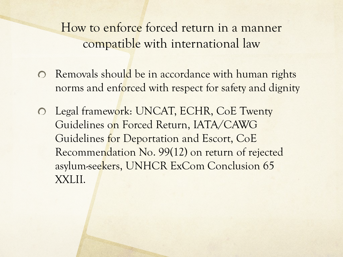How to enforce forced return in a manner compatible with international law

- $\odot$  Removals should be in accordance with human rights norms and enforced with respect for safety and dignity
- Legal framework: UNCAT, ECHR, CoE Twenty  $\overline{O}$ Guidelines on Forced Return, IATA/CAWG Guidelines for Deportation and Escort, CoE Recommendation No. 99(12) on return of rejected asylum-seekers, UNHCR ExCom Conclusion 65 XXLII.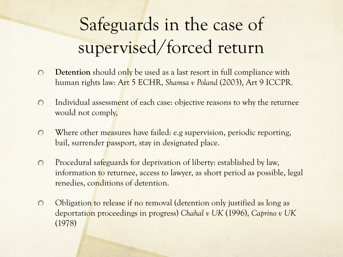## Safeguards in the case of supervised/forced return

- **Detention** should only be used as a last resort in full compliance with  $\circ$ human rights law: Art 5 ECHR, *Shamsa v Poland* (2003), Art 9 ICCPR.
- Individual assessment of each case: objective reasons to why the returnee  $\bigcirc$ would not comply,
- Where other measures have failed: e.g supervision, periodic reporting,  $\bigcirc$ bail, surrender passport, stay in designated place.
- $\circ$ Procedural safeguards for deprivation of liberty: established by law, information to returnee, access to lawyer, as short period as possible, legal renedies, conditions of detention.
- Obligation to release if no removal (detention only justified as long as  $\circ$ deportation proceedings in progress) *Chahal v UK* (1996), *Caprino v UK*  (1978)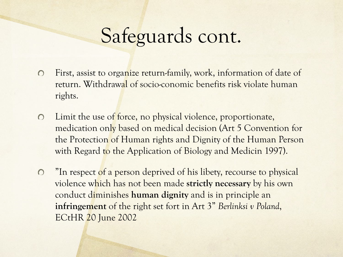## Safeguards cont.

- First, assist to organize return-family, work, information of date of  $\bigcap$ return. Withdrawal of socio-conomic benefits risk violate human rights.
- $\bigcirc$ Limit the use of force, no physical violence, proportionate, medication only based on medical decision (Art 5 Convention for the Protection of Human rights and Dignity of the Human Person with Regard to the Application of Biology and Medicin 1997).
- "In respect of a person deprived of his libety, recourse to physical  $\bigcirc$ violence which has not been made **strictly necessary** by his own conduct diminishes **human dignity** and is in principle an **infringement** of the right set fort in Art 3" *Berlinksi v Poland*, ECtHR 20 June 2002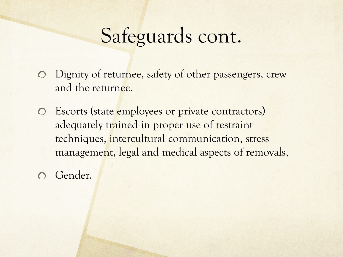### Safeguards cont.

- Dignity of returnee, safety of other passengers, crew  $\bigcirc$ and the returnee.
- Escorts (state employees or private contractors)  $\bigcirc$ adequately trained in proper use of restraint techniques, intercultural communication, stress management, legal and medical aspects of removals,
- Gender.